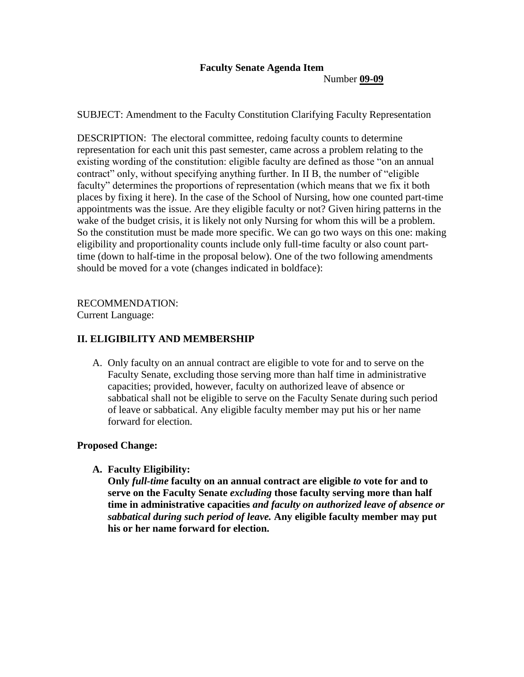# **Faculty Senate Agenda Item**

Number **09-09**

SUBJECT: Amendment to the Faculty Constitution Clarifying Faculty Representation

DESCRIPTION: The electoral committee, redoing faculty counts to determine representation for each unit this past semester, came across a problem relating to the existing wording of the constitution: eligible faculty are defined as those "on an annual contract" only, without specifying anything further. In II B, the number of "eligible faculty" determines the proportions of representation (which means that we fix it both places by fixing it here). In the case of the School of Nursing, how one counted part-time appointments was the issue. Are they eligible faculty or not? Given hiring patterns in the wake of the budget crisis, it is likely not only Nursing for whom this will be a problem. So the constitution must be made more specific. We can go two ways on this one: making eligibility and proportionality counts include only full-time faculty or also count parttime (down to half-time in the proposal below). One of the two following amendments should be moved for a vote (changes indicated in boldface):

RECOMMENDATION:

Current Language:

## **II. ELIGIBILITY AND MEMBERSHIP**

A. Only faculty on an annual contract are eligible to vote for and to serve on the Faculty Senate, excluding those serving more than half time in administrative capacities; provided, however, faculty on authorized leave of absence or sabbatical shall not be eligible to serve on the Faculty Senate during such period of leave or sabbatical. Any eligible faculty member may put his or her name forward for election.

## **Proposed Change:**

**A. Faculty Eligibility:**

**Only** *full-time* **faculty on an annual contract are eligible** *to* **vote for and to serve on the Faculty Senate** *excluding* **those faculty serving more than half time in administrative capacities** *and faculty on authorized leave of absence or sabbatical during such period of leave.* **Any eligible faculty member may put his or her name forward for election.**